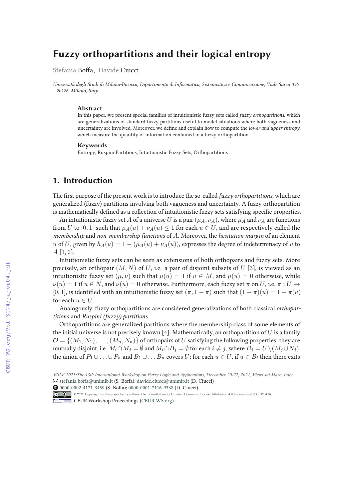# **Fuzzy orthopartitions and their logical entropy**

Stefania Boffa, Davide Ciucci

*Università degli Studi di Milano-Bicocca, Dipartimento di Informatica, Sistemistica e Comunicazione, Viale Sarca 336 – 20126, Milano, Italy*

#### **Abstract**

In this paper, we present special families of intuitionistic fuzzy sets called *fuzzy orthopartitions*, which are generalizations of standard fuzzy partitions useful to model situations where both vagueness and uncertainty are involved. Moreover, we define and explain how to compute the *lower and upper entropy*, which measure the quantity of information contained in a fuzzy orthopartition.

#### **Keywords**

Entropy, Ruspini Partitions, Intuitionistic Fuzzy Sets, Orthopartitions

# **1. Introduction**

The first purpose of the present work is to introduce the so-called *fuzzy orthopartitions*, which are generalized (fuzzy) partitions involving both vagueness and uncertainty. A fuzzy orthopartition is mathematically defined as a collection of intuitionistic fuzzy sets satisfying specific properties.

An intuitionistic fuzzy set A of a universe U is a pair  $(\mu_A, \nu_A)$ , where  $\mu_A$  and  $\nu_A$  are functions from U to [0, 1] such that  $\mu_A(u) + \nu_A(u) \leq 1$  for each  $u \in U$ , and are respectively called the *membership* and *non-membership functions* of A. Moreover, the *hesitation margin* of an element u of U, given by  $h_A(u) = 1 - (\mu_A(u) + \nu_A(u))$ , expresses the degree of indeterminacy of u to A [1, 2].

Intuitionistic fuzzy sets can be seen as extensions of both orthopairs and fuzzy sets. More precisely, an orthopair  $(M, N)$  of U, i.e. a pair of disjoint subsets of U [3], is viewed as an intuitionistic fuzzy set  $(\mu, \nu)$  such that  $\mu(u) = 1$  if  $u \in M$ , and  $\mu(u) = 0$  otherwise, while  $\nu(u) = 1$  if  $u \in N$ , and  $\nu(u) = 0$  otherwise. Furthermore, each fuzzy set  $\pi$  on U, i.e.  $\pi : U \to$ [0, 1], is identified with an intuitionistic fuzzy set  $(\pi, 1 - \pi)$  such that  $(1 - \pi)(u) = 1 - \pi(u)$ for each  $u \in U$ .

Analogously, fuzzy orthopartitions are considered generalizations of both classical *orthopartitions* and *Ruspini (fuzzy) partitions*.

Orthopartitions are generalized partitions where the membership class of some elements of the initial universe is not precisely known [4]. Mathematically, an orthopartition of  $U$  is a family  $\mathcal{O} = \{(M_1, N_1), \ldots, (M_n, N_n)\}\$  of orthopairs of U satisfying the following properties: they are mutually disjoint, i.e.  $M_i \cap M_j = \emptyset$  and  $M_i \cap B_j = \emptyset$  for each  $i \neq j$ , where  $B_j = U \setminus (M_j \cup N_j)$ ; the union of  $P_1 \cup ... \cup P_n$  and  $B_1 \cup ... B_n$  covers U; for each  $u \in U$ , if  $u \in B_i$  then there exits

@ 2021 Copyright for this paper by its authors. Use permitted under Creative Commons License Attribution 4.0 International (CC BY 4.0).

*WILF'21 WILF 2021:The 13th International Workshop on Fuzzy Logic and Applications, December 20-22, 2021, Vietri sul Mare, Italy*  $\bigcirc$  stefania.boffa@unimib.it (S. Boffa); davide.ciucci@unimib.it (D. Ciucci)

 $\bullet$  0000-0002-4171-3459 (S. Boffa); 0000-0001-7116-9338 (D. Ciucci)

**CEUR Workshop Proceedings (CEUR-WS.org)**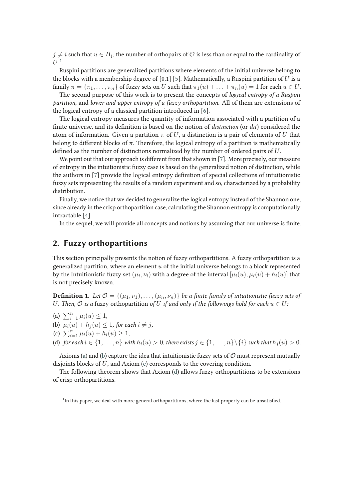$j \neq i$  such that  $u \in B_j$ ; the number of orthopairs of  $\mathcal O$  is less than or equal to the cardinality of  $U^1$ .

Ruspini partitions are generalized partitions where elements of the initial universe belong to the blocks with a membership degree of  $[0,1]$  [5]. Mathematically, a Ruspini partition of  $U$  is a family  $\pi = {\pi_1, \ldots, \pi_n}$  of fuzzy sets on U such that  $\pi_1(u) + \ldots + \pi_n(u) = 1$  for each  $u \in U$ .

The second purpose of this work is to present the concepts of *logical entropy of a Ruspini partition*, and *lower and upper entropy of a fuzzy orthopartition*. All of them are extensions of the logical entropy of a classical partition introduced in [6].

The logical entropy measures the quantity of information associated with a partition of a finite universe, and its definition is based on the notion of *distinction* (or *dit*) considered the atom of information. Given a partition  $\pi$  of U, a distinction is a pair of elements of U that belong to different blocks of  $\pi$ . Therefore, the logical entropy of a partition is mathematically defined as the number of distinctions normalized by the number of ordered pairs of  $U$ .

We point out that our approach is different from that shown in  $[7]$ . More precisely, our measure of entropy in the intuitionistic fuzzy case is based on the generalized notion of distinction, while the authors in  $[7]$  provide the logical entropy definition of special collections of intuitionistic fuzzy sets representing the results of a random experiment and so, characterized by a probability distribution.

Finally, we notice that we decided to generalize the logical entropy instead of the Shannon one, since already in the crisp orthopartition case, calculating the Shannon entropy is computationally intractable [4].

In the sequel, we will provide all concepts and notions by assuming that our universe is finite.

# **2. Fuzzy orthopartitions**

This section principally presents the notion of fuzzy orthopartitions. A fuzzy orthopartition is a generalized partition, where an element  $u$  of the initial universe belongs to a block represented by the intuitionistic fuzzy set  $(\mu_i,\nu_i)$  with a degree of the interval  $[\mu_i(u),\mu_i(u)+h_i(u)]$  that is not precisely known.

**Definition 1.** Let  $\mathcal{O} = \{(\mu_1, \nu_1), \dots, (\mu_n, \nu_n)\}\$ be a finite family of intuitionistic fuzzy sets of U. Then,  $\mathcal O$  *is a* fuzzy orthopartition of U *if and only if the followings hold for each*  $u \in U$ :

- (a)  $\sum_{i=1}^{n} \mu_i(u) \leq 1$ ,
- (b)  $\mu_i(u) + h_i(u) \leq 1$ , for each  $i \neq j$ ,
- (c)  $\sum_{i=1}^{n} \mu_i(u) + h_i(u) \geq 1$ ,
- (d) *for each*  $i \in \{1, ..., n\}$  *with*  $h_i(u) > 0$ *, there exists*  $j \in \{1, ..., n\} \setminus \{i\}$  *such that*  $h_j(u) > 0$ *.*

Axioms (a) and (b) capture the idea that intuitionistic fuzzy sets of  $O$  must represent mutually disjoints blocks of U, and Axiom (c) corresponds to the covering condition.

The following theorem shows that Axiom (d) allows fuzzy orthopartitions to be extensions of crisp orthopartitions.

<sup>&</sup>lt;sup>1</sup>In this paper, we deal with more general orthopartitions, where the last property can be unsatisfied.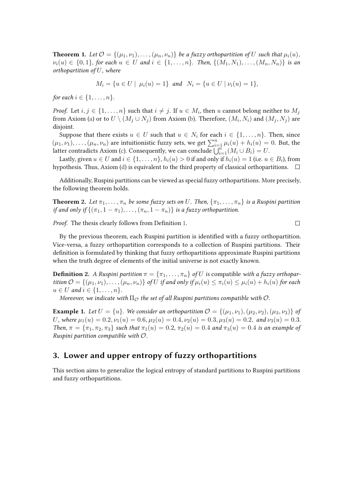**Theorem 1.** Let  $\mathcal{O} = \{(\mu_1, \nu_1), \ldots, (\mu_n, \nu_n)\}\$  be a fuzzy orthopartition of U such that  $\mu_i(u)$ ,  $\nu_i(u) \in \{0,1\}$ , for each  $u \in U$  and  $i \in \{1, \ldots, n\}$ . Then,  $\{(M_1, N_1), \ldots, (M_n, N_n)\}$  is an *orthopartition of* U*, where*

$$
M_i = \{ u \in U \mid \mu_i(u) = 1 \} \text{ and } N_i = \{ u \in U \mid \nu_i(u) = 1 \},
$$

*for each*  $i \in \{1, ..., n\}$ *.* 

*Proof.* Let  $i, j \in \{1, \ldots, n\}$  such that  $i \neq j.$  If  $u \in M_i,$  then  $u$  cannot belong neither to  $M_j$ from Axiom (a) or to  $U\setminus (M_j\cup N_j)$  from Axiom (b). Therefore,  $(M_i,N_i)$  and  $(M_j,N_j)$  are disjoint.

Suppose that there exists  $u \in U$  such that  $u \in N_i$  for each  $i \in \{1, ..., n\}$ . Then, since  $(\mu_1, \nu_1), \ldots, (\mu_n, \nu_n)$  are intuitionistic fuzzy sets, we get  $\sum_{i=1}^n \mu_i(u) + h_i(u) = 0$ . But, the latter contradicts Axiom (c). Consequently, we can conclude  $\bigcup_{i=1}^{n} (M_i \cup B_i) = U$ .

Lastly, given  $u\in U$  and  $i\in\{1,\ldots,n\},$   $h_i(u)>0$  if and only if  $h_i(u)=1$  (i.e.  $u\in B_i$ ), from hypothesis. Thus, Axiom (d) is equivalent to the third property of classical orthopartitions.  $\Box$ 

Additionally, Ruspini partitions can be viewed as special fuzzy orthopartitions. More precisely, the following theorem holds.

**Theorem 2.** *Let*  $\pi_1, \ldots, \pi_n$  *be some fuzzy sets on* U. Then,  $\{\pi_1, \ldots, \pi_n\}$  *is a Ruspini partition if and only if*  $\{(\pi_1, 1 - \pi_1), \ldots, (\pi_n, 1 - \pi_n)\}\)$  *is a fuzzy orthopartition.* 

*Proof.* The thesis clearly follows from Definition 1.

By the previous theorem, each Ruspini partition is identified with a fuzzy orthopartition. Vice-versa, a fuzzy orthopartition corresponds to a collection of Ruspini partitions. Their definition is formulated by thinking that fuzzy orthopartitions approximate Ruspini partitions when the truth degree of elements of the initial universe is not exactly known.

**Definition 2.** *A Ruspini partition*  $\pi = {\pi_1, \ldots, \pi_n}$  *of U is* compatible *with* a fuzzy orthopar*tition*  $\mathcal{O} = \{(\mu_1, \nu_1), \ldots, (\mu_n, \nu_n)\}\$  *of* U *if and only if*  $\mu_i(u) \leq \pi_i(u) \leq \mu_i(u) + h_i(u)$  *for each*  $u \in U$  *and*  $i \in \{1, ..., n\}$ *.* 

*Moreover, we indicate with*  $\Pi_{\mathcal{O}}$  *the set of all Ruspini partitions compatible with*  $\mathcal{O}$ *.* 

**Example 1.** *Let*  $U = \{u\}$ . We consider an orthopartition  $\mathcal{O} = \{(\mu_1, \nu_1), (\mu_2, \nu_2), (\mu_3, \nu_3)\}$  of U, where  $\mu_1(u) = 0.2, \nu_1(u) = 0.6, \mu_2(u) = 0.4, \nu_2(u) = 0.3, \mu_3(u) = 0.2, \text{ and } \nu_3(u) = 0.3.$ *Then,*  $\pi = {\pi_1, \pi_2, \pi_3}$  *such that*  $\pi_1(u) = 0.2$ ,  $\pi_2(u) = 0.4$  *and*  $\pi_3(u) = 0.4$  *is an example of Ruspini partition compatible with* O.

## **3. Lower and upper entropy of fuzzy orthopartitions**

This section aims to generalize the logical entropy of standard partitions to Ruspini partitions and fuzzy orthopartitions.

 $\Box$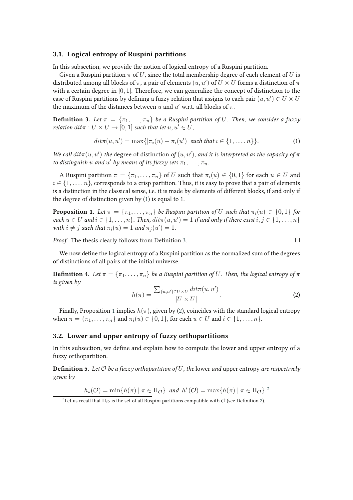#### **3.1. Logical entropy of Ruspini partitions**

In this subsection, we provide the notion of logical entropy of a Ruspini partition.

Given a Ruspini partition  $\pi$  of U, since the total membership degree of each element of U is distributed among all blocks of  $\pi,$  a pair of elements  $(u, u')$  of  $U \times U$  forms a distinction of  $\pi$ with a certain degree in  $[0, 1]$ . Therefore, we can generalize the concept of distinction to the case of Ruspini partitions by defining a fuzzy relation that assigns to each pair  $(u, u') \in U \times U$ the maximum of the distances between  $u$  and  $u'$  w.r.t. all blocks of  $\pi$ .

**Definition 3.** Let  $\pi = {\pi_1, \ldots, \pi_n}$  be a Ruspini partition of U. Then, we consider a fuzzy *relation*  $\text{dit}\pi: U \times U \rightarrow [0, 1]$  *such that let*  $u, u' \in U$ ,

$$
dit\pi(u, u') = \max\{|\pi_i(u) - \pi_i(u')| \text{ such that } i \in \{1, ..., n\}\}.
$$
 (1)

*We call*  $dit\pi(u, u')$  the degree of distinction of  $(u, u')$ , and it is interpreted as the capacity of  $\pi$ *to distinguish*  $u$  *and*  $u'$  *by means of its fuzzy sets*  $\pi_1, \ldots, \pi_n$ *.* 

A Ruspini partition  $\pi = {\pi_1, \ldots, \pi_n}$  of U such that  $\pi_i(u) \in \{0,1\}$  for each  $u \in U$  and  $i \in \{1, \ldots, n\}$ , corresponds to a crisp partition. Thus, it is easy to prove that a pair of elements is a distinction in the classical sense, i.e. it is made by elements of different blocks, if and only if the degree of distinction given by (1) is equal to 1.

**Proposition 1.** Let  $\pi = {\pi_1, \ldots, \pi_n}$  be Ruspini partition of U such that  $\pi_i(u) \in \{0,1\}$  for  $\mathit{each}\ u \in U \ \mathit{and}\ i \in \{1,\ldots,n\}$ . Then,  $\mathit{dit}\pi(u,u') = 1$  if and only if there exist  $i, j \in \{1,\ldots,n\}$ *with*  $i \neq j$  *such that*  $\pi_i(u) = 1$  *and*  $\pi_j(u') = 1$ *.* 

*Proof.* The thesis clearly follows from Definition 3.

We now define the logical entropy of a Ruspini partition as the normalized sum of the degrees of distinctions of all pairs of the initial universe.

**Definition 4.** *Let*  $\pi = {\pi_1, \ldots, \pi_n}$  *be a Ruspini partition of U. Then, the logical entropy of*  $\pi$ *is given by*

$$
h(\pi) = \frac{\sum_{(u,u') \in U \times U} \operatorname{dit} \pi(u, u')}{|U \times U|}.
$$
\n(2)

 $\Box$ 

Finally, Proposition 1 implies  $h(\pi)$ , given by (2), coincides with the standard logical entropy when  $\pi = {\pi_1, ..., \pi_n}$  and  $\pi_i(u) \in \{0, 1\}$ , for each  $u \in U$  and  $i \in \{1, ..., n\}$ .

### **3.2. Lower and upper entropy of fuzzy orthopartitions**

In this subsection, we define and explain how to compute the lower and upper entropy of a fuzzy orthopartition.

**Definition 5.** Let  $\mathcal O$  be a fuzzy orthopartition of  $U$ , the lower and upper entropy are respectively *given by*

$$
h_*(\mathcal{O}) = \min\{h(\pi) \mid \pi \in \Pi_{\mathcal{O}}\} \text{ and } h^*(\mathcal{O}) = \max\{h(\pi) \mid \pi \in \Pi_{\mathcal{O}}\}.
$$

 $^2$ Let us recall that  $\Pi_{\mathcal{O}}$  is the set of all Ruspini partitions compatible with  $\mathcal O$  (see Definition 2).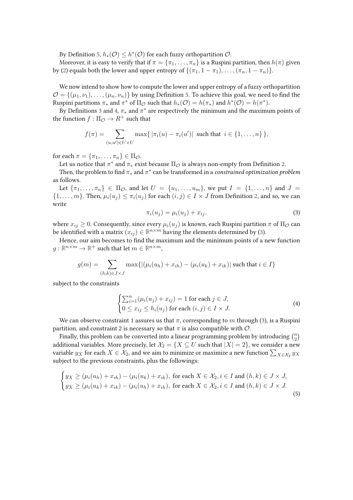By Definition 5,  $h_*(\mathcal{O}) \leq h^*(\mathcal{O})$  for each fuzzy orthopartition  $\mathcal{O}.$ 

Moreover, it is easy to verify that if  $\pi = {\pi_1, \ldots, \pi_n}$  is a Ruspini partition, then  $h(\pi)$  given by (2) equals both the lower and upper entropy of  $\{(\pi_1, 1 - \pi_1), \ldots, (\pi_n, 1 - \pi_n)\}.$ 

We now intend to show how to compute the lower and upper entropy of a fuzzy orthopartition  $\mathcal{O} = \{(\mu_1, \nu_1), \dots, (\mu_n, \nu_n)\}\$  by using Definition 5. To achieve this goal, we need to find the Ruspini partitions  $\pi_*$  and  $\pi^*$  of  $\Pi_{\mathcal{O}}$  such that  $h_*(\mathcal{O}) = h(\pi_*)$  and  $h^*(\mathcal{O}) = h(\pi^*)$ .

By Definitions 3 and 4,  $\pi_*$  and  $\pi^*$  are respectively the minimum and the maximum points of the function  $f : \Pi_{\mathcal{O}} \to R^+$  such that

$$
f(\pi) = \sum_{(u,u') \in U \times U} \max\{ |\pi_i(u) - \pi_i(u')| \text{ such that } i \in \{1,\ldots,n\} \},
$$

for each  $\pi = {\pi_1, \ldots, \pi_n} \in \Pi_{\mathcal{O}}$ .

Let us notice that  $\pi^*$  and  $\pi_*$  exist because  $\Pi_\mathcal{O}$  is always non-empty from Definition 2.

Then, the problem to find  $\pi_*$  and  $\pi^*$  can be transformed in a *constrained optimization problem* as follows.

Let  $\{\pi_1,\ldots,\pi_n\} \in \Pi_{\mathcal{O}}$ , and let  $U = \{u_1,\ldots,u_m\}$ , we put  $I = \{1,\ldots,n\}$  and  $J =$  $\{1,\ldots,m\}$ . Then,  $\mu_i(u_i) \leq \pi_i(u_i)$  for each  $(i,j) \in I \times J$  from Definition 2, and so, we can write

$$
\pi_i(u_j) = \mu_i(u_j) + x_{ij}.\tag{3}
$$

where  $x_{ij} \geq 0$ . Consequently, since every  $\mu_i(u_i)$  is known, each Ruspini partition  $\pi$  of  $\Pi_{\mathcal{O}}$  can be identified with a matrix  $(x_{ij}) \in \mathbb{R}^{n \times m}$  having the elements determined by (3).

Hence, our aim becomes to find the maximum and the minimum points of a new function  $g: \mathbb{R}^{n \times m} \to \mathbb{R}^+$  such that let  $m \in \mathbb{R}^{n \times m}$ ,

$$
g(m) = \sum_{(h,k)\in J\times J} \max\{|(\mu_i(u_h) + x_{ih}) - (\mu_i(u_k) + x_{ik})| \text{ such that } i \in I\}
$$

subject to the constraints

$$
\begin{cases} \sum_{i=1}^{n} (\mu_i(u_j) + x_{ij}) = 1 \text{ for each } j \in J, \\ 0 \le x_{ij} \le h_i(u_j) \text{ for each } (i,j) \in I \times J. \end{cases}
$$
\n(4)

We can observe constraint 1 assures us that  $\pi$ , corresponding to m through (3), is a Ruspini partition, and constraint 2 is necessary so that  $\pi$  is also compatible with  $\mathcal{O}$ .

Finally, this problem can be converted into a linear programming problem by introducing  $\binom{n}{2}$  $\binom{n}{2}$ additional variables. More precisely, let  $\mathcal{X}_2 = \{X \subseteq U \text{ such that } |X| = 2\}$ , we consider a new variable  $y_X$  for each  $X\in\mathcal{X}_2,$  and we aim to minimize or maximize a new function  $\sum_{X\in\mathcal{X}_2}y_X$ subject to the previous constraints, plus the followings:

$$
\begin{cases}\ny_X \ge (\mu_i(u_h) + x_{ih}) - (\mu_i(u_k) + x_{ik}), \text{ for each } X \in \mathcal{X}_2, i \in I \text{ and } (h, k) \in J \times J, \\
y_X \ge (\mu_i(u_k) + x_{ik}) - (\mu_i(u_h) + x_{ih}), \text{ for each } X \in \mathcal{X}_2, i \in I \text{ and } (h, k) \in J \times J.\n\end{cases}
$$
\n(5)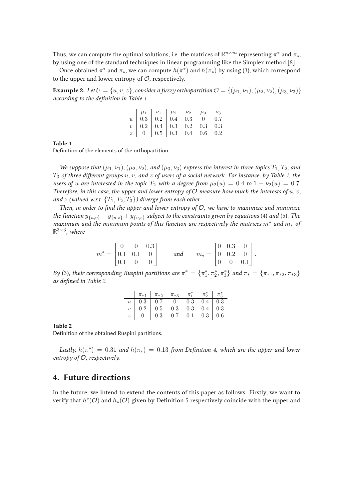Thus, we can compute the optimal solutions, i.e. the matrices of  $\mathbb{R}^{n \times m}$  representing  $\pi^*$  and  $\pi_*$ , by using one of the standard techniques in linear programming like the Simplex method [8].

Once obtained  $\pi^*$  and  $\pi_*$ , we can compute  $h(\pi^*)$  and  $h(\pi_*)$  by using (3), which correspond to the upper and lower entropy of  $\mathcal{O}$ , respectively.

**Example 2.** *Let*  $U = \{u, v, z\}$ , consider a fuzzy orthopartition  $\mathcal{O} = \{(\mu_1, \nu_1), (\mu_2, \nu_2), (\mu_3, \nu_3)\}$ *according to the definition in Table 1.* 

| $\begin{tabular}{c c c c c c c c} $u$ & $0.3$ & $0.2$ & $0.4$ & $0.3$ & $0$ & $0.7$ \\ $v$ & $0.2$ & $0.4$ & $0.3$ & $0.2$ & $0.3$ & $0.3$ \\ $z$ & $0$ & $0.5$ & $0.3$ & $0.4$ & $0.6$ & $0.2$ \\ \end{tabular}$ |  |  |  |
|-------------------------------------------------------------------------------------------------------------------------------------------------------------------------------------------------------------------|--|--|--|

#### **Table 1**

Definition of the elements of the orthopartition.

*We suppose that*  $(\mu_1, \nu_1), (\mu_2, \nu_2)$ *, and*  $(\mu_3, \nu_3)$  *express the interest in three topics*  $T_1, T_2$ *, and*  $T_3$  *of three different groups* u, v, and z *of users of a social network. For instance, by Table 1, the users of* u are interested in the topic  $T_2$  with a degree from  $\mu_2(u) = 0.4$  to  $1 - \nu_2(u) = 0.7$ . *Therefore, in this case, the upper and lower entropy of*  $\mathcal O$  *measure how much the interests of*  $u, v$ *, and* z (valued w.r.t.  $\{T_1, T_2, T_3\}$ ) diverge from each other.

*Then, in order to find the upper and lower entropy of*  $O$ *, we have to maximize and minimize the function*  $y_{\{u,v\}} + y_{\{u,z\}} + y_{\{v,z\}}$  *subject to the constraints given by equations* (4) *and* (5). The *maximum and the minimum points of this function are respectively the matrices* m<sup>∗</sup> *and* m<sup>∗</sup> *of* **R** 3×3 *, where*

$$
m^* = \begin{bmatrix} 0 & 0 & 0.3 \\ 0.1 & 0.1 & 0 \\ 0.1 & 0 & 0 \end{bmatrix} \quad \text{and} \quad m_* = \begin{bmatrix} 0 & 0.3 & 0 \\ 0 & 0.2 & 0 \\ 0 & 0 & 0.1 \end{bmatrix}.
$$

*By* (3), their corresponding Ruspini partitions are  $\pi^* = \{\pi_1^*, \pi_2^*, \pi_3^*\}$  and  $\pi_* = \{\pi_{*1}, \pi_{*2}, \pi_{*3}\}$ *as de"ned in Table 2.*

| $\begin{array}{ c c c c c c }\n\hline\n\pi_{*1} & \pi_{*2} & \pi_{*3} & \pi_{1}^{*} & \pi_{2}^{*} & \pi_{3}^{*}\n\end{array}$                                                                                     |  |  |  |
|-------------------------------------------------------------------------------------------------------------------------------------------------------------------------------------------------------------------|--|--|--|
|                                                                                                                                                                                                                   |  |  |  |
|                                                                                                                                                                                                                   |  |  |  |
| $\begin{tabular}{c c c c c c c c} $u$ & $0.3$ & $0.7$ & $0$ & $0.3$ & $0.4$ & $0.3$ \\ $v$ & $0.2$ & $0.5$ & $0.3$ & $0.3$ & $0.4$ & $0.3$ \\ $z$ & $0$ & $0.3$ & $0.7$ & $0.1$ & $0.3$ & $0.6$ \\ \end{tabular}$ |  |  |  |

#### **Table 2**

Definition of the obtained Ruspini partitions.

Lastly,  $h(\pi^*) = 0.31$  and  $h(\pi_*) = 0.13$  from Definition 4, which are the upper and lower *entropy of* O*, respectively.*

### **4. Future directions**

In the future, we intend to extend the contents of this paper as follows. Firstly, we want to verify that  $h^*(\mathcal{O})$  and  $h_*(\mathcal{O})$  given by Definition 5 respectively coincide with the upper and